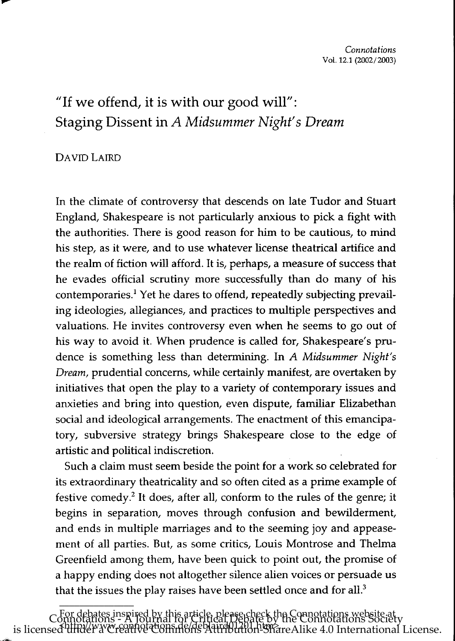# "If we offend, it is with our good will": Staging Dissent in *A Midsummer Night's Dream*

# DAVID LAIRD

\_\_\_\_\_\_\_\_\_\_\_\_\_\_\_

In the climate of controversy that descends on late Tudor and Stuart England, Shakespeare is not particularly anxious to pick a fight with the authorities. There is good reason for him to be cautious, to mind his step, as it were, and to use whatever license theatrical artifice and the realm of fiction will afford. It is, perhaps, a measure of success that he evades official scrutiny more successfully than do many of his contemporaries.1 Yet he dares to offend, repeatedly subjecting prevailing ideologies, allegiances, and practices to multiple perspectives and valuations. He invites controversy even when he seems to go out of his way to avoid it. When prudence is called for, Shakespeare's prudence is something less than determining. In *A Midsummer Night's Dream,* prudential concerns, while certainly manifest, are overtaken by initiatives that open the play to a variety of contemporary issues and anxieties and bring into question, even dispute, familiar Elizabethan social and ideological arrangements. The enactment of this emancipatory, subversive strategy brings Shakespeare close to the edge of artistic and political indiscretion.

Such a claim must seem beside the point for a work so celebrated for its extraordinary theatricality and so often cited as a prime example of festive comedy? It does, after all, conform to the rules of the genre; it begins in separation, moves through confusion and bewilderment, and ends in multiple marriages and to the seeming joy and appeasement of all parties. But, as some critics, Louis Montrose and Thelrna Greenfield among them, have been quick to point out, the promise of a happy ending does not altogether silence alien voices or persuade us that the issues the play raises have been settled once and for all. $3$ 

For debates inspired by this article, please check the Connotations website at Connotations - A Journal for Critical Debate by the Connotations Society is licensed under a Creative Commons Attribution-ShareAlike 4.0 International License.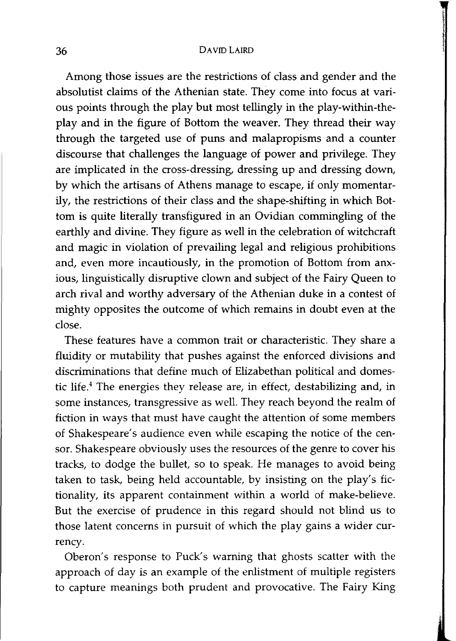Among those issues are the restrictions of class and gender and the absolutist claims of the Athenian state. They come into focus at various points through the play but most tellingly in the play-within-theplay and in the figure of Bottom the weaver. They thread their way through the targeted use of puns and malapropisms and a counter discourse that challenges the language of power and privilege. They are implicated in the cross-dressing, dressing up and dressing down, by which the artisans of Athens manage to escape, if only momentarily, the restrictions of their class and the shape-shifting in which Bottom is quite literally transfigured in an Ovidian commingling of the earthly and divine. They figure as well in the celebration of witchcraft and magic in violation of prevailing legal and religious prohibitions and, even more incautiously, in the promotion of Bottom from anxious, linguistically disruptive clown and subject of the Fairy Queen to arch rival and worthy adversary of the Athenian duke in a contest of mighty opposites the outcome of which remains in doubt even at the close.

These features have a common trait or characteristic. They share a fluidity or mutability that pushes against the enforced divisions and discriminations that define much of Elizabethan political and domestic life.<sup>4</sup> The energies they release are, in effect, destabilizing and, in some instances, transgressive as well. They reach beyond the realm of fiction in ways that must have caught the attention of some members of Shakespeare's audience even while escaping the notice of the censor. Shakespeare obviously uses the resources of the genre to cover his tracks, to dodge the bullet, so to speak. He manages to avoid being taken to task, being held accountable, by insisting on the play's fictionality, its apparent containment within a world of make-believe. But the exercise of prudence in this regard should not blind us to those latent concerns in pursuit of which the play gains a wider currency.

Oberon's response to Puck's warning that ghosts scatter with the approach of day is an example of the enlistment of multiple registers to capture meanings both prudent and provocative. The Fairy King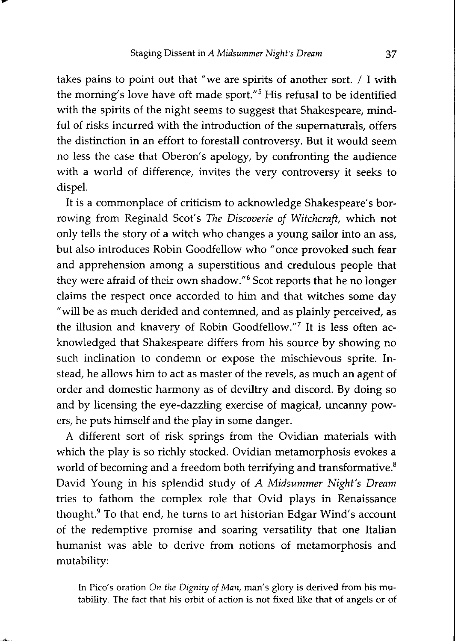takes pains to point out that "we are spirits of another sort. / I with the morning's love have oft made sport."<sup>5</sup> His refusal to be identified with the spirits of the night seems to suggest that Shakespeare, mindful of risks incurred with the introduction of the supernaturals, offers the distinction in an effort to forestall controversy. But it would seem no less the case that Oberon's apology, by confronting the audience with a world of difference, invites the very controversy it seeks to dispel.

It is a commonplace of criticism to acknowledge Shakespeare's borrowing from Reginald Scot's *The Discoverie of Witchcraft,* which not only tells the story of a witch who changes a young sailor into an ass, but also introduces Robin Goodfellow who" once provoked such fear and apprehension among a superstitious and credulous people that they were afraid of their own shadow."6 Scot reports that he no longer claims the respect once accorded to him and that witches some day "will be as much derided and contemned, and as plainly perceived, as the illusion and knavery of Robin Goodfellow."7 It is less often acknowledged that Shakespeare differs from his source by showing no such inclination to condemn or expose the mischievous sprite. Instead, he allows him to act as master of the revels, as much an agent of order and domestic harmony as of deviltry and discord. By doing so and by licensing the eye-dazzling exercise of magical, uncanny powers, he puts himself and the play in some danger.

A different sort of risk springs from the Ovidian materials with which the play is so richly stocked. Ovidian metamorphosis evokes a world of becoming and a freedom both terrifying and transformative.<sup>8</sup> David Young in his splendid study of *A Midsummer Night's Dream*  tries to fathom the complex role that Ovid plays in Renaissance thought.<sup>9</sup> To that end, he turns to art historian Edgar Wind's account of the redemptive promise and soaring versatility that one Italian humanist was able to derive from notions of metamorphosis and mutability:

In Pico's oration *On the Dignity of Man,* man's glory is derived from his mutability. The fact that his orbit of action is not fixed like that of angels or of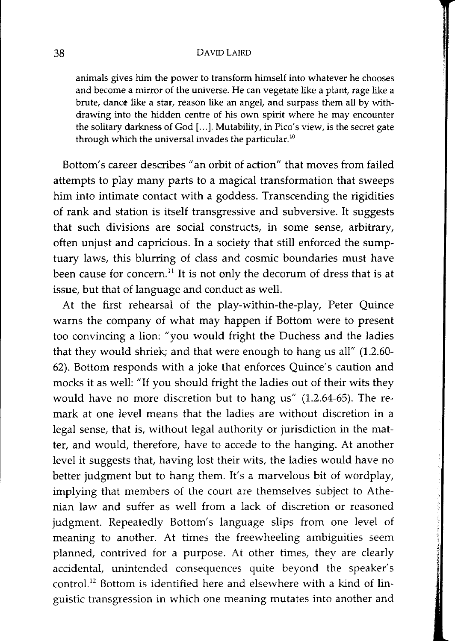animals gives him the power to transform himself into whatever he chooses and become a mirror of the universe. He can vegetate like a plant, rage like a brute, dance like a star, reason like an angel, and surpass them all by withdrawing into the hidden centre of his own spirit where he may encounter the solitary darkness of God [...]. Mutability, in Pico's view, is the secret gate through which the universal invades the particular.<sup>10</sup>

Bottom's career describes "an orbit of action" that moves from failed attempts to play many parts to a magical transformation that sweeps him into intimate contact with a goddess. Transcending the rigidities of rank and station is itself transgressive and subversive. It suggests that such divisions are social constructs, in some sense, arbitrary, often unjust and capricious. In a society that still enforced the sumptuary laws, this blurring of class and cosmic boundaries must have been cause for concern.<sup>11</sup> It is not only the decorum of dress that is at issue, but that of language and conduct as well.

At the first rehearsal of the play-within-the-play, Peter Quince warns the company of what may happen if Bottom were to present too convincing a lion: "you would fright the Duchess and the ladies that they would shriek; and that were enough to hang us all" (1.2.60- 62). Bottom responds with a joke that enforces Quince's caution and mocks it as well: "If you should fright the ladies out of their wits they would have no more discretion but to hang us" (1.2.64-65). The remark at one level means that the ladies are without discretion in a legal sense, that is, without legal authority or jurisdiction in the matter, and would, therefore, have to accede to the hanging. At another level it suggests that, having lost their wits, the ladies would have no better judgment but to hang them. It's a marvelous bit of wordplay, implying that members of the court are themselves subject to Athenian law and suffer as well from a lack of discretion or reasoned judgment. Repeatedly Bottom's language slips from one level of meaning to another. At times the freewheeling ambiguities seem planned, contrived for a purpose. At other times, they are clearly accidental, unintended consequences quite beyond the speaker's control.<sup>12</sup> Bottom is identified here and elsewhere with a kind of linguistic transgression in which one meaning mutates into another and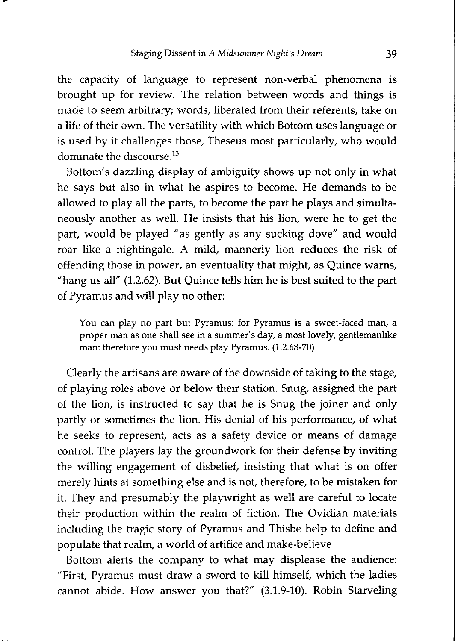the capacity of language to represent non-verbal phenomena is brought up for review. The relation between words and things is made to seem arbitrary; words, liberated from their referents, take on a life of their own. The versatility with which Bottom uses language or is used by it challenges those, Theseus most particularly, who would dominate the discourse.<sup>13</sup>

Bottom's dazzling display of ambiguity shows up not only in what he says but also in what he aspires to become. He demands to be allowed to play all the parts, to become the part he plays and simultaneously another as well. He insists that his lion, were he to get the part, would be played "as gently as any sucking dove" and would roar like a nightingale. A mild, mannerly lion reduces the risk of offending those in power, an eventuality that might, as Quince warns, "hang us all" (1.2.62). But Quince tells him he is best suited to the part of Pyramus and will play no other:

You can play no part but Pyramus; for Pyramus is a sweet-faced man, a proper man as one shall see in a summer's day, a most lovely, gentlemanlike man: therefore you must needs play Pyramus. (1.2.68-70)

Clearly the artisans are aware of the downside of taking to the stage, of playing roles above or below their station. Snug, assigned the part of the lion, is instructed to say that he is Snug the joiner and only partly or sometimes the lion. His denial of his performance, of what he seeks to represent, acts as a safety device or means of damage control. The players lay the groundwork for their defense by inviting the willing engagement of disbelief, insisting that what is on offer merely hints at something else and is not, therefore, to be mistaken for it. They and presumably the playwright as well are careful to locate their production within the realm of fiction. The Ovidian materials including the tragic story of Pyramus and Thisbe help to define and populate that realm, a world of artifice and make-believe.

Bottom alerts the company to what may displease the audience: "First, Pyramus must draw a sword to kill himself, which the ladies cannot abide. How answer you that?" (3.1.9-10). Robin Starveling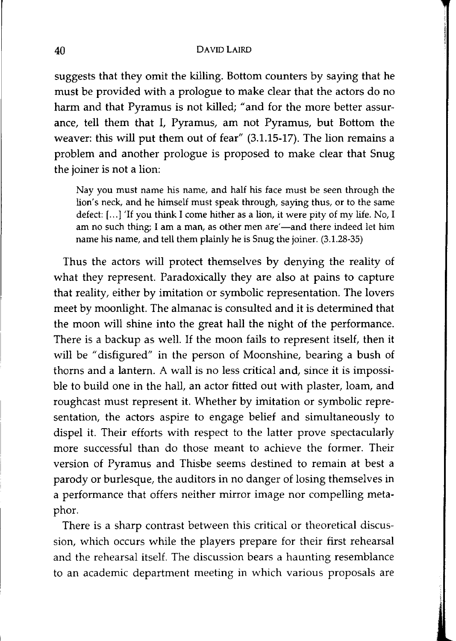suggests that they omit the killing. Bottom counters by saying that he must be provided with a prologue to make clear that the actors do no harm and that Pyramus is not killed; "and for the more better assurance, tell them that 1, Pyramus, am not Pyramus, but Bottom the weaver: this will put them out of fear" (3.1.15-17). The lion remains a problem and another prologue is proposed to make clear that Snug the joiner is not a lion:

Nay you must name his name, and half his face must be seen through the lion's neck, and he himself must speak through, saying thus, or to the same defect: [...] 'If you think I come hither as a lion, it were pity of my life. No, I am no such thing; I am a man, as other men are'—and there indeed let him name his name, and tell them plainly he is Snug the joiner. (3.1.28-35)

Thus the actors will protect themselves by denying the reality of what they represent. Paradoxically they are also at pains to capture that reality, either by imitation or symbolic representation. The lovers meet by moonlight. The almanac is consulted and it is determined that the moon will shine into the great hall the night of the performance. There is a backup as well. If the moon fails to represent itself, then it will be "disfigured" in the person of Moonshine, bearing a bush of thorns and a lantern. A wall is no less critical and, since it is impossible to build one in the hall, an actor fitted out with plaster, loam, and roughcast must represent it. Whether by imitation or symbolic representation, the actors aspire to engage belief and simultaneously to dispel it. Their efforts with respect to the latter prove spectacularly more successful than do those meant to achieve the former. Their version of Pyramus and Thisbe seems destined to remain at best a parody or burlesque, the auditors in no danger of losing themselves in a performance that offers neither mirror image nor compelling metaphor.

There is a sharp contrast between this critical or theoretical discussion, which occurs while the players prepare for their first rehearsal and the rehearsal itself. The discussion bears a haunting resemblance to an academic department meeting in which various proposals are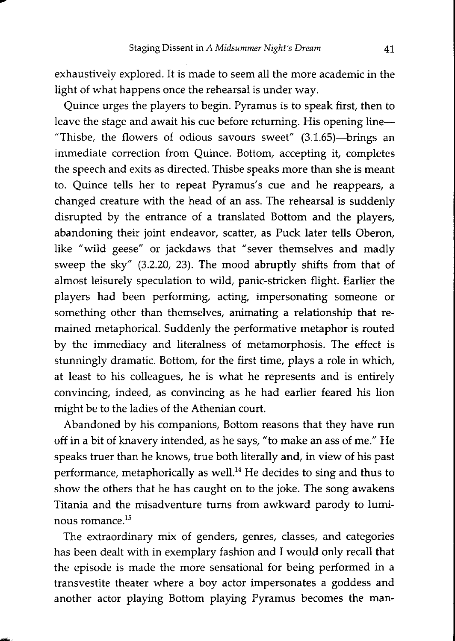exhaustively explored. It is made to seem all the more academic in the light of what happens once the rehearsal is under way.

Quince urges the players to begin. Pyramus is to speak first, then to leave the stage and await his cue before returning. His opening line-"Thisbe, the flowers of odious savours sweet"  $(3.1.65)$ -brings an immediate correction from Quince. Bottom, accepting it, completes the speech and exits as directed. Thisbe speaks more than she is meant to. Quince tells her to repeat Pyramus's cue and he reappears, a changed creature with the head of an ass. The rehearsal is suddenly disrupted by the entrance of a translated Bottom and the players, abandoning their joint endeavor, scatter, as Puck later tells Oberon, like "wild geese" or jackdaws that "sever themselves and madly sweep the sky" (3.2.20, 23). The mood abruptly shifts from that of almost leisurely speculation to wild, panic-stricken flight. Earlier the players had been performing, acting, impersonating someone or something other than themselves, animating a relationship that remained metaphorical. Suddenly the performative metaphor is routed by the immediacy and literalness of metamorphosis. The effect is stunningly dramatic. Bottom, for the first time, plays a role in which, at least to his colleagues, he is what he represents and is entirely convincing, indeed, as convincing as he had earlier feared his lion might be to the ladies of the Athenian court.

Abandoned by his companions, Bottom reasons that they have run off in a bit of knavery intended, as he says, "to make an ass of me." He speaks truer than he knows, true both literally and, in view of his past performance, metaphorically as well.<sup>14</sup> He decides to sing and thus to show the others that he has caught on to the joke. The song awakens Titania and the misadventure turns from awkward parody to luminous romance.<sup>15</sup>

The extraordinary mix of genders, genres, classes, and categories has been dealt with in exemplary fashion and I would only recall that the episode is made the more sensational for being performed in a transvestite theater where a boy actor impersonates a goddess and another actor playing Bottom playing Pyramus becomes the man-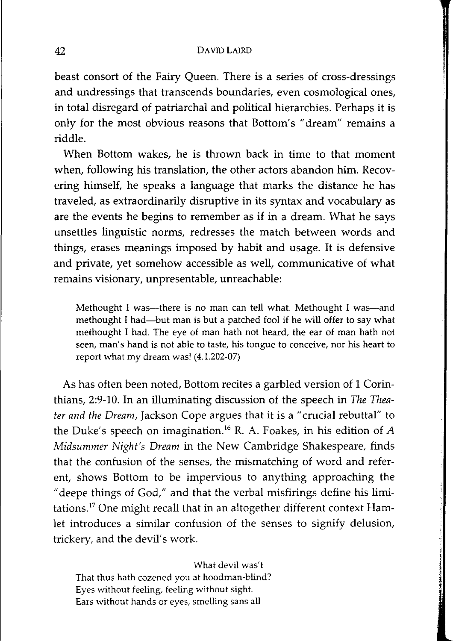#### 42 DAVroLAIRD

beast consort of the Fairy Queen. There is a series of cross-dressings and undressings that transcends boundaries, even cosmological ones, in total disregard of patriarchal and political hierarchies. Perhaps it is only for the most obvious reasons that Bottom's "dream" remains a riddle.

When Bottom wakes, he is thrown back in time to that moment when, following his translation, the other actors abandon him. Recovering himself, he speaks a language that marks the distance he has traveled, as extraordinarily disruptive in its syntax and vocabulary as are the events he begins to remember as if in a dream. What he says unsettles linguistic norms, redresses the match between words and things, erases meanings imposed by habit and usage. It is defensive and private, yet somehow accessible as well, communicative of what remains visionary, unpresentable, unreachable:

Methought I was--there is no man can tell what. Methought I was--and methought I had-but man is but a patched fool if he will offer to say what methought I had. The eye of man hath not heard, the ear of man hath not seen, man's hand is not able to taste, his tongue to conceive, nor his heart to report what my dream was! (4.1.202-07)

As has often been noted, Bottom recites a garbled version of 1 Corinthians, 2:9-10. In an illuminating discussion of the speech in *The Theater and the Dream,* Jackson Cope argues that it is a "crucial rebuttal" to the Duke's speech on imagination.<sup>16</sup> R. A. Foakes, in his edition of *A Midsummer Night's Dream* in the New Cambridge Shakespeare, finds that the confusion of the senses, the mismatching of word and referent, shows Bottom to be impervious to anything approaching the "deepe things of God," and that the verbal misfirings define his limitations.<sup>17</sup> One might recall that in an altogether different context Hamlet introduces a similar confusion of the senses to signify delusion, trickery, and the devil's work.

What devil was't That thus hath cozened you at hoodman-blind? Eyes without feeling, feeling without sight. Ears without hands or eyes, smelling sans all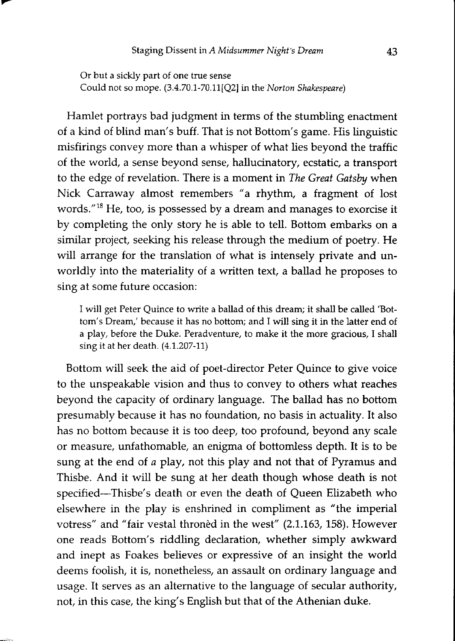Or but a sickly part of one true sense Could not so mope. (3.4.70.1-70.11[Q2] in the *Norton Shakespeare)* 

Hamlet portrays bad judgment in terms of the stumbling enactment of a kind of blind man's buff. That is not Bottom's game. His linguistic misfirings convey more than a whisper of what lies beyond the traffic of the world, a sense beyond sense, hallucinatory, ecstatic, a transport to the edge of revelation. There is a moment in *The Great Gatsby* when Nick Carraway almost remembers "a rhythm, a fragment of lost words."18 He, too, is possessed by a dream and manages to exorcise it by completing the only story he is able to tell. Bottom embarks on a similar project, seeking his release through the medium of poetry. He will arrange for the translation of what is intensely private and unworldly into the materiality of a written text, a ballad he proposes to sing at some future occasion:

I will get Peter Quince to write a ballad of this dream; it shall be called 'Bottom's Dream,' because it has no bottom; and I will sing it in the latter end of a play, before the Duke. Peradventure, to make it the more gracious, I shall sing it at her death. (4.1.207-11)

Bottom will seek the aid of poet-director Peter Quince to give voice to the unspeakable vision and thus to convey to others what reaches beyond the capacity of ordinary language. The ballad has no bottom presumably because it has no foundation, no basis in actuality. It also has no bottom because it is too deep, too profound, beyond any scale or measure, unfathomable, an enigma of bottomless depth. It is to be sung at the end of *a* play, not this play and not that of Pyramus and Thisbe. And it will be sung at her death though whose death is not specified-Thisbe's death or even the death of Queen Elizabeth who elsewhere in the play is enshrined in compliment as "the imperial votress" and "fair vestal throned in the west" (2.1.163, 158). However one reads Bottom's riddling declaration, whether simply awkward and inept as Foakes believes or expressive of an insight the world deems foolish, it is, nonetheless, an assault on ordinary language and usage. It serves as an alternative to the language of secular authority, not, in this case, the king's English but that of the Athenian duke.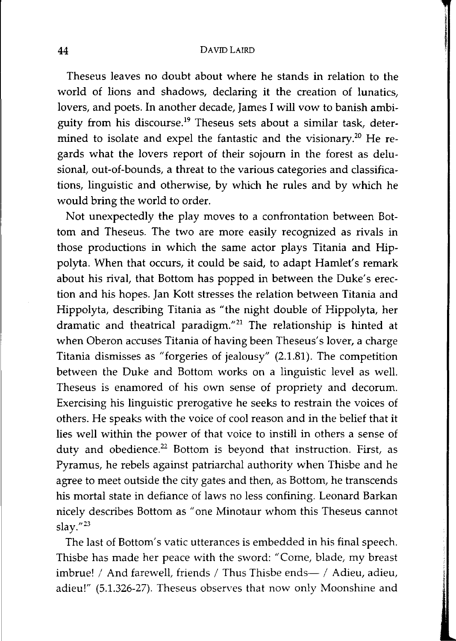Theseus leaves no doubt about where he stands in relation to the world of lions and shadows, declaring it the creation of lunatics, lovers, and poets. In another decade, James I will vow to banish ambiguity from his discourse.<sup>19</sup> Theseus sets about a similar task, determined to isolate and expel the fantastic and the visionary.<sup>20</sup> He regards what the lovers report of their sojourn in the forest as delusional, out-of-bounds, a threat to the various categories and classifications, linguistic and otherwise, by which he rules and by which he would bring the world to order.

Not unexpectedly the play moves to a confrontation between Bottom and Theseus. The two are more easily recognized as rivals in those productions in which the same actor plays Titania and Hippolyta. When that occurs, it could be said, to adapt Hamlet's remark about his rival, that Bottom has popped in between the Duke's erection and his hopes. Jan Kott stresses the relation between Titania and Hippolyta, describing Titania as "the night double of Hippolyta, her dramatic and theatrical paradigm."21 The relationship is hinted at when Oberon accuses Titania of having been Theseus's lover, a charge Titania dismisses as "forgeries of jealousy" (2.1.81). The competition between the Duke and Bottom works on a linguistic level as well. Theseus is enamored of his own sense of propriety and decorum. Exercising his linguistic prerogative he seeks to restrain the voices of others. He speaks with the voice of cool reason and in the belief that it lies well within the power of that voice to instill in others a sense of duty and obedience.<sup>22</sup> Bottom is beyond that instruction. First, as Pyramus, he rebels against patriarchal authority when Thisbe and he agree to meet outside the city gates and then, as Bottom, he transcends his mortal state in defiance of laws no less confining. Leonard Barkan nicely describes Bottom as "one Minotaur whom this Theseus cannot slay."23

The last of Bottom's vatic utterances is embedded in his final speech. Thisbe has made her peace with the sword: "Come, blade, my breast imbrue! / And farewell, friends / Thus Thisbe ends- / Adieu, adieu, adieu!" (5.1.326-27). Theseus observes that now only Moonshine and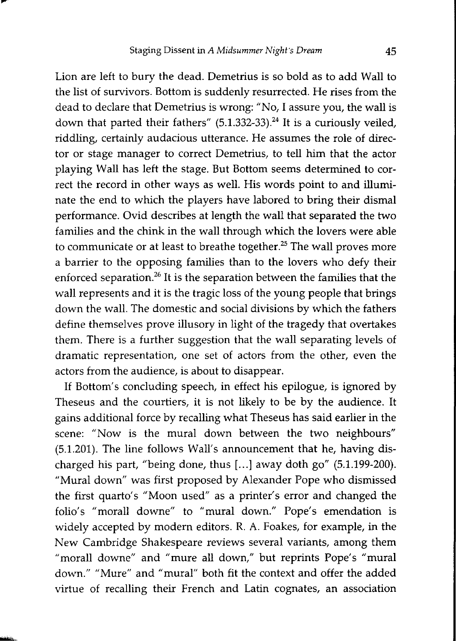Lion are left to bury the dead. Demetrius is so bold as to add Wall to the list of survivors. Bottom is suddenly resurrected. He rises from the dead to declare that Demetrius is wrong: "No, I assure you, the wall is down that parted their fathers"  $(5.1.332-33).<sup>24</sup>$  It is a curiously veiled, riddling, certainly audacious utterance. He assumes the role of director or stage manager to correct Demetrius, to tell him that the actor playing Wall has left the stage. But Bottom seems determined to correct the record in other ways as well. His words point to and illuminate the end to which the players have labored to bring their dismal performance. Ovid describes at length the wall that separated the two families and the chink in the wall through which the lovers were able to communicate or at least to breathe together.<sup>25</sup> The wall proves more a barrier to the opposing families than to the lovers who defy their enforced separation.<sup>26</sup> It is the separation between the families that the wall represents and it is the tragic loss of the young people that brings down the wall. The domestic and social divisions by which the fathers define themselves prove illusory in light of the tragedy that overtakes them. There is a further suggestion that the wall separating levels of dramatic representation, one set of actors from the other, even the actors from the audience, is about to disappear.

If Bottom's concluding speech, in effect his epilogue, is ignored by Theseus and the courtiers, it is not likely to be by the audience. It gains additional force by recalling what Theseus has said earlier in the scene: "Now is the mural down between the two neighbours" (5.1.201). The line follows Wall's announcement that he, having discharged his part, "being done, thus [...] away doth go" (5.1.199-200). "Mural down" was first proposed by Alexander Pope who dismissed the first quarto's "Moon used" as a printer's error and changed the folio's "morall downe" to "mural down." Pope's emendation is widely accepted by modern editors. R. A. Foakes, for example, in the New Cambridge Shakespeare reviews several variants, among them "morall downe" and "mure all down," but reprints Pope's "mural down." "Mure" and "mural" both fit the context and offer the added virtue of recalling their French and Latin cognates, an association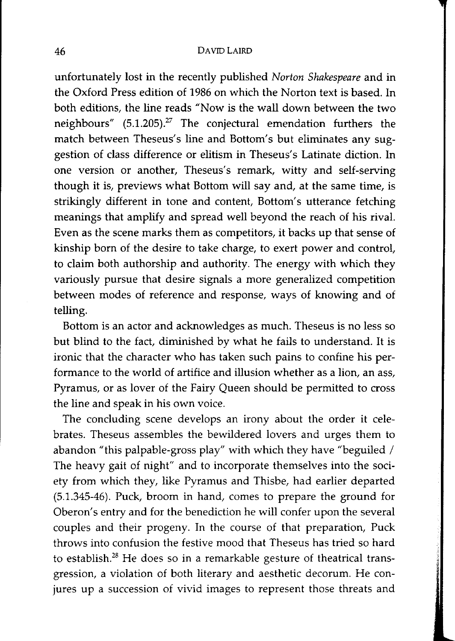unfortunately lost in the recently published *Norton Shakespeare* and in the Oxford Press edition of 1986 on which the Norton text is based. In both editions, the line reads "Now is the wall down between the two neighbours" (5.1.205).<sup>27</sup> The conjectural emendation furthers the match between Theseus's line and Bottom's but eliminates any suggestion of class difference or elitism in Theseus's Latinate diction. In one version or another, Theseus's remark, witty and self-serving though it is, previews what Bottom will say and, at the same time, is strikingly different in tone and content, Bottom's utterance fetching meanings that amplify and spread well beyond the reach of his rival. Even as the scene marks them as competitors, it backs up that sense of kinship born of the desire to take charge, to exert power and control, to claim both authorship and authority. The energy with which they variously pursue that desire signals a more generalized competition between modes of reference and response, ways of knowing and of telling.

Bottom is an actor and acknowledges as much. Theseus is no less so but blind to the fact, diminished by what he fails to understand. It is ironic that the character who has taken such pains to confine his performance to the world of artifice and illusion whether as a lion, an ass, Pyramus, or as lover of the Pairy Queen should be permitted to cross the line and speak in his own voice.

The concluding scene develops an irony about the order it celebrates. Theseus assembles the bewildered lovers and urges them to abandon "this palpable-gross play" with which they have "beguiled / The heavy gait of night" and to incorporate themselves into the society from which they, like Pyramus and Thisbe, had earlier departed (5.1.345-46). Puck, broom in hand, comes to prepare the ground for Oberon's entry and for the benediction he will confer upon the several couples and their progeny. In the course of that preparation, Puck throws into confusion the festive mood that Theseus has tried so hard to establish.<sup>28</sup> He does so in a remarkable gesture of theatrical transgression, a violation of both literary and aesthetic decorum. He conjures up a succession of vivid images to represent those threats and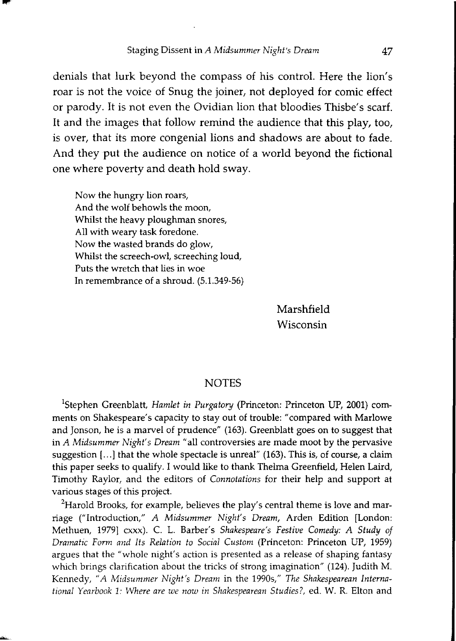denials that lurk beyond the compass of his control. Here the lion's roar is not the voice of Snug the joiner, not deployed for comic effect or parody. It is not even the Ovidian lion that bloodies Thisbe's scarf. It and the images that follow remind the audience that this play, too, is over, that its more congenial lions and shadows are about to fade. And they put the audience on notice of a world beyond the fictional one where poverty and death hold sway.

Now the hungry lion roars, And the wolf behowls the moon, Whilst the heavy ploughman snores, All with weary task foredone. Now the wasted brands do glow, Whilst the screech-owl, screeching loud, Puts the wretch that lies in woe In remembrance of a shroud. (5.1.349-56)

> Marshfield Wisconsin

## NOTES

<sup>1</sup>Stephen Greenblatt, *Hamlet in Purgatory* (Princeton: Princeton UP, 2001) comments on Shakespeare's capacity to stay out of trouble: "compared with Marlowe and Jonson, he is a marvel of prudence" (163). Greenblatt goes on to suggest that in *A Midsummer Night's Dream"* all controversies are made moot by the pervasive suggestion  $[...]$  that the whole spectacle is unreal" (163). This is, of course, a claim this paper seeks to qualify. I would like to thank Thelma Greenfield, Helen Laird, Timothy Raylor, and the editors of *Connotations* for their help and support at various stages of this project.

 $^{2}$ Harold Brooks, for example, believes the play's central theme is love and marriage ("Introduction," *A Midsummer Night's Dream,* Arden Edition [London: Methuen, 1979] cxxx). C. L. Barber's *Shakespeare's Festive Comedy: A Study of Dramatic Form and Its Relation to Social Custom* (Princeton: Princeton UP, 1959) argues that the "whole night's action is presented as a release of shaping fantasy which brings clarification about the tricks of strong imagination" (124). Judith M. Kennedy, *"A Midsummer Night's Dream* in the 19905," *The Shakespearean International Yearbook* 1: *Where are we now in Shakespearean Studies?,* ed. W. R. Elton and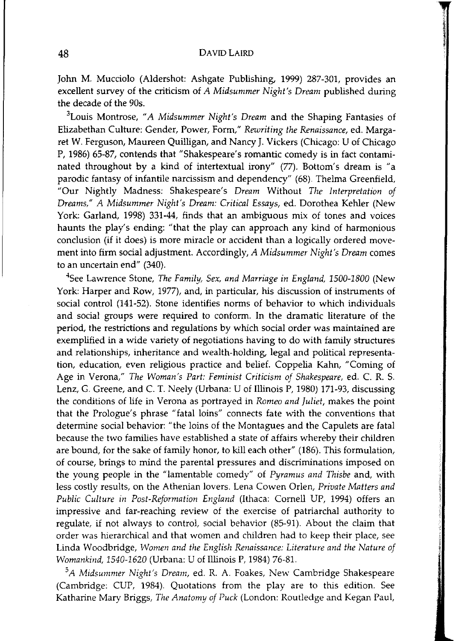John M. Mucciolo (Aldershot: Ashgate Publishing, 1999) 287-301, provides an excellent survey of the criticism of *A Midsummer Night's Dream* published during the decade of the 90s.

3Louis Montrose, *"A Midsummer Night's Dream* and the Shaping Fantasies of Elizabethan Culture: Gender, Power, Form," *Rewriting the Renaissance,* ed. Margaret W. Ferguson, Maureen Quilligan, and Nancy J. Vickers (Chicago: U of Chicago P, 1986) 65-87, contends that "Shakespeare's romantic comedy is in fact contaminated throughout by a kind of intertextual irony" (77). Bottom's dream is "a parodic fantasy of infantile narcissism and dependency" (68). Thelma Greenfield, "Our Nightly Madness: Shakespeare's *Dream* Without *The Interpretation of Dreams," A Midsummer Night's Dream: Critical Essays,* ed. Dorothea Kehler (New York: Garland, 1998) 331-44, finds that an ambiguous mix of tones and voices haunts the play's ending: "that the play can approach any kind of harmonious conclusion (if it does) is more miracle or accident than a logically ordered movement into firm social adjustment. Accordingly, *A Midsummer Night's Dream* comes to an uncertain end" (340).

4See Lawrence Stone, *The Family, Sex, and Marriage in England, 1500-1800* (New York: Harper and Row, 1977), and, in particular, his discussion of instruments of social control (141-52). Stone identifies norms of behavior to which individuals and social groups were required to conform. In the dramatic literature of the period, the restrictions and regulations by which social order was maintained are exemplified in a wide variety of negotiations having to do with family structures and relationships, inheritance and wealth-holding, legal and political representation, education, even religious practice and belief. Coppelia Kahn, "Coming of Age in Verona," *The Woman's Part: Feminist Criticism of Shakespeare,* ed. C. R. S. Lenz, G. Greene, and C. T. Neely (Urbana: U of Illinois P, 1980) 171-93, discussing the conditions of life in Verona as portrayed in *Romeo and juliet,* makes the point that the Prologue's phrase "fatal loins" connects fate with the conventions that determine social behavior: "the loins of the Montagues and the Capulets are fatal because the two families have established a state of affairs whereby their children are bound, for the sake of family honor, to kill each other" (186). This formulation, of course, brings to mind the parental pressures and discriminations imposed on the young people in the "lamentable comedy" of *Pyramus and Thisbe* and, with less costly results, on the Athenian lovers. Lena Cowen Orlen, *Private Matters and Public Culture in Post-Reformation England* (Ithaca: Comell UP, 1994) offers an impressive and far-reaching review of the exercise of patriarchal authority to regulate, if not always to control, social behavior (85-91). About the claim that order was hierarchical and that women and children had to keep their place, see Linda Woodbridge, *Women and the English Renaissance: Literature and the Nature of Womankind, 1540-1620* (Urbana: U ofIllinois P, 1984) 76-81.

*5 A Midsummer Night's Dream,* ed. R. A. Foakes, New Cambridge Shakespeare (Cambridge: CUP, 1984). Quotations from the play are to this edition. See Katharine Mary Briggs, *The Anatomy of Puck* (London: Routledge and Kegan Paul,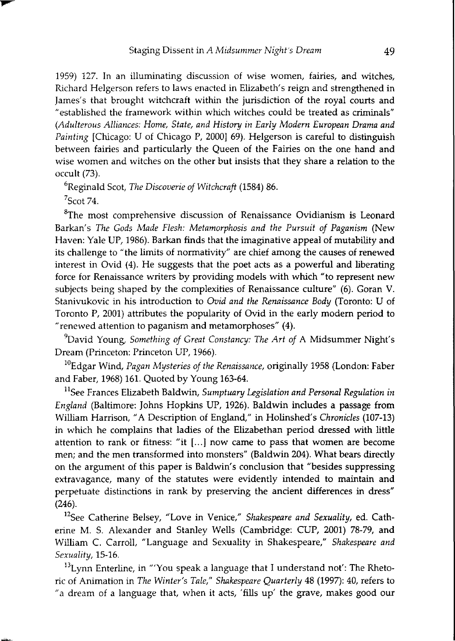1959) 127. In an illuminating discussion of wise women, fairies, and witches, Richard Helgerson refers to laws enacted in Elizabeth's reign and strengthened in James's that brought witchcraft within the jurisdiction of the royal courts and *<sup>U</sup>*established the framework within which witches could be treated as criminals" *(Adulterous Alliances: Home, State, and History in Early Modern European Drama and Painting* [Chicago: U of Chicago P, 2000] 69). Helgerson is careful to distinguish between fairies and particularly the Queen of the Fairies on the one hand and wise women and witches on the other but insists that they share a relation to the occult (73),

6Reginald Scot, *The Discoverie of Witchcraft* (1584) 86.

 $7$ Scot 74.

 ${}^{8}$ The most comprehensive discussion of Renaissance Ovidianism is Leonard Barkan's *The Gods Made Flesh: Metamorphosis and the Pursuit of Paganism* (New Haven: Yale UP, 1986). Barkan finds that the imaginative appeal of mutability and its challenge to "the limits of normativity" are chief among the causes of renewed interest in Ovid (4). He suggests that the poet acts as a powerful and liberating force for Renaissance writers by providing models with which "to represent new subjects being shaped by the complexities of Renaissance culture" (6). Goran V. Stanivukovic in his introduction to *Ovid and the Renaissance Body* (Toronto: U of Toronto P, 2001) attributes the popularity of Ovid in the early modem period to "renewed attention to paganism and metamorphoses" (4).

9David Young, *Something of Great Constancy: The Art of* A Midsummer Night's Dream (Princeton: Princeton UP, 1966).

<sup>10</sup>Edgar Wind, *Pagan Mysteries of the Renaissance*, originally 1958 (London: Faber and Faber, 1968) 161. Quoted by Young 163-64.

<sup>11</sup>See Frances Elizabeth Baldwin, Sumptuary Legislation and Personal Regulation in *England* (Baltimore: Johns Hopkins UP, 1926). Baldwin includes a passage from William Harrison, "A Description of England," in Holinshed's *Chronicles* (107-13) in which he complains that ladies of the Elizabethan period dressed with little attention to rank or fitness: "it  $[...]$  now came to pass that women are become men; and the men transformed into monsters" (Baldwin 204). What bears directly on the argument of this paper is Baldwin's conclusion that "besides suppressing extravagance, many of the statutes were evidently intended to maintain and perpetuate distinctions in rank by preserving the ancient differences in dress" (246).

12See Catherine Belsey, "Love in Venice," *Shakespeare and Sexuality,* ed. Catherine M. S. Alexander and Stanley Wells (Cambridge: CUP, 2001) 78-79, and William C. Carroll, "Language and Sexuality in Shakespeare," *Shakespeare and Sexuality,* 15-16.

<sup>13</sup>Lynn Enterline, in "'You speak a language that I understand not': The Rhetoric of Animation in *The Winter's Tale," Shakespeare Quarterly* 48 (1997): 40, refers to "a dream of a language that, when it acts, 'fills up' the grave, makes good our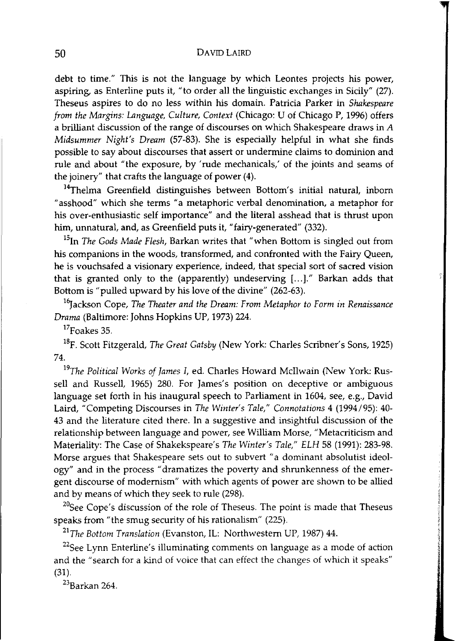debt to time." This is not the language by which Leontes projects his power, aspiring, as Enterline puts it, "to order all the linguistic exchanges in Sicily" (27). Theseus aspires to do no less within his domain. Patricia Parker in *Shakespeare from the Margins: Language, Culture, Context* (Chicago: U of Chicago P, 1996) offers a brilliant discussion of the range of discourses on which Shakespeare draws in *A Midsummer Night's Dream* (57-83). She is especially helpful in what she finds possible to say about discourses that assert or undermine claims to dominion and rule and about "the exposure, by 'rude mechanicals,' of the joints and seams of the joinery" that crafts the language of power (4).

<sup>14</sup>Thelma Greenfield distinguishes between Bottom's initial natural, inborn "asshood" which she terms "a metaphoric verbal denomination, a metaphor for his over-enthusiastic self importance" and the literal asshead that is thrust upon him, unnatural, and, as Greenfield puts it, "fairy-generated" (332).

15In *The Gods Made Flesh,* Barkan writes that "when Bottom is singled out from his companions in the woods, transformed, and confronted with the Fairy Queen, he is vouchsafed a visionary experience, indeed, that special sort of sacred vision that is granted only to the (apparently) undeserving [...]." Barkan adds that Bottom is "pulled upward by his love of the divine" (262-63).

<sup>16</sup>Jackson Cope, *The Theater and the Dream: From Metaphor to Form in Renaissance Drama* (Baltimore: Johns Hopkins UP, 1973) 224.

 $17$ Foakes 35.

18F. Scott Fitzgerald, *The Great Gatsby* (New York: Charles Scribner's Sons, 1925) 74.

*19The Political Works of lames i,* ed. Charles Howard McIlwain (New York: Russell and Russell, 1965) 280. For James's position on deceptive or ambiguous language set forth in his inaugural speech to Parliament in 1604, see, e.g., David Laird, "Competing Discourses in *The Winter's Tale," Connotations* 4 (1994/95): 40- 43 and the literature cited there. In a suggestive and insightful discussion of the relationship between language and power, see William Morse, "Metacriticism and Materiality: The Case of Shakekspeare's *The Winter's Tale," ELH* 58 (1991): 283-98. Morse argues that Shakespeare sets out to subvert "a dominant absolutist ideology" and in the process "dramatizes the poverty and shrunkenness of the emergent discourse of modernism" with which agents of power are shown to be allied and by means of which they seek to rule (298).

 $20$ See Cope's discussion of the role of Theseus. The point is made that Theseus speaks from "the smug security of his rationalism" (225).

<sup>21</sup>The Bottom Translation (Evanston, IL: Northwestern UP, 1987) 44.

 $22$ See Lynn Enterline's illuminating comments on language as a mode of action and the "search for a kind of voice that can effect the changes of which it speaks" (31).

23Barkan 264.